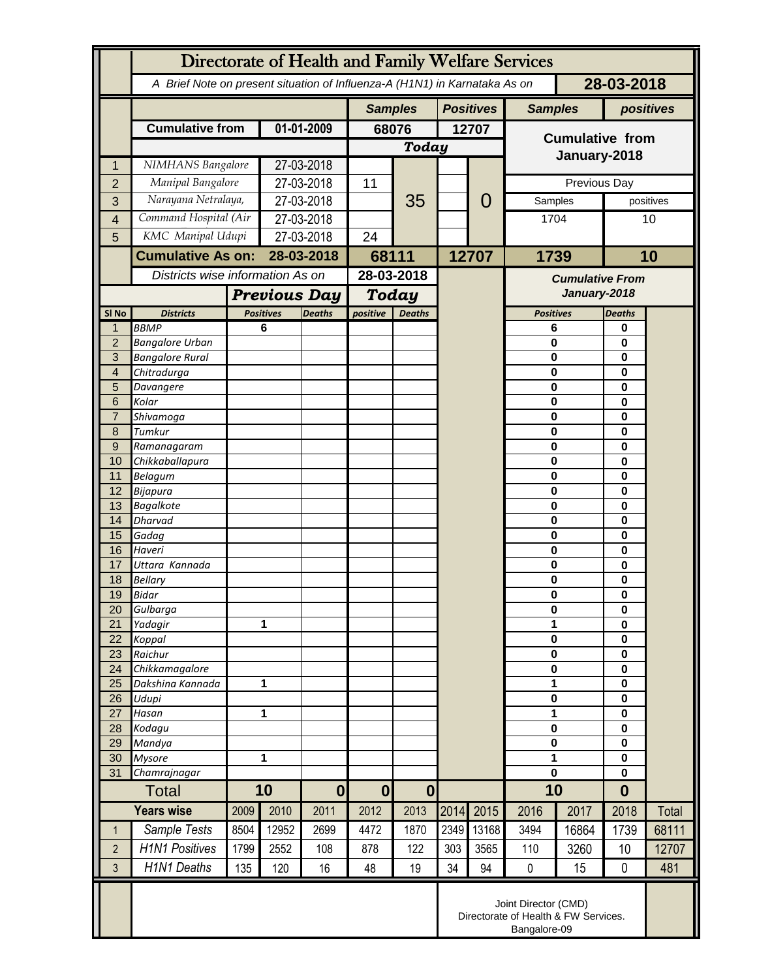|                | Directorate of Health and Family Welfare Services                                        |                     |                                   |                |                          |               |                  |                        |                             |              |               |           |  |
|----------------|------------------------------------------------------------------------------------------|---------------------|-----------------------------------|----------------|--------------------------|---------------|------------------|------------------------|-----------------------------|--------------|---------------|-----------|--|
|                | 28-03-2018<br>A Brief Note on present situation of Influenza-A (H1N1) in Karnataka As on |                     |                                   |                |                          |               |                  |                        |                             |              |               |           |  |
|                |                                                                                          |                     |                                   | <b>Samples</b> |                          |               | <b>Positives</b> | <b>Samples</b>         |                             | positives    |               |           |  |
|                | <b>Cumulative from</b>                                                                   | 01-01-2009          |                                   | 68076          |                          | 12707         |                  | <b>Cumulative from</b> |                             |              |               |           |  |
|                |                                                                                          |                     |                                   |                | Today                    |               |                  |                        | January-2018                |              |               |           |  |
| 1              | NIMHANS Bangalore                                                                        |                     | 27-03-2018                        |                |                          |               |                  |                        |                             |              |               |           |  |
| $\overline{2}$ | Manipal Bangalore                                                                        |                     | 27-03-2018                        |                | 11                       |               |                  |                        | Previous Day                |              |               |           |  |
| 3              | Narayana Netralaya,                                                                      |                     | 27-03-2018                        |                |                          | 35            |                  | 0                      |                             | Samples      |               | positives |  |
| $\overline{4}$ | Command Hospital (Air                                                                    |                     | 27-03-2018                        |                |                          |               |                  |                        | 1704                        |              | 10            |           |  |
| 5              | KMC Manipal Udupi                                                                        |                     | 27-03-2018                        |                | 24                       |               |                  |                        |                             |              |               |           |  |
|                | <b>Cumulative As on:</b>                                                                 |                     | 28-03-2018                        |                | 68111                    |               |                  | 12707                  | 1739                        |              |               | 10        |  |
|                | Districts wise information As on                                                         |                     |                                   |                | 28-03-2018               |               |                  |                        | <b>Cumulative From</b>      |              |               |           |  |
|                |                                                                                          | <b>Previous Day</b> |                                   |                | Today                    |               |                  |                        |                             | January-2018 |               |           |  |
| SI No          | <b>Districts</b>                                                                         |                     | <b>Positives</b><br><b>Deaths</b> |                | positive                 | <b>Deaths</b> |                  |                        | <b>Positives</b>            |              | <b>Deaths</b> |           |  |
| $\mathbf 1$    | <b>BBMP</b>                                                                              |                     | 6                                 |                |                          |               |                  |                        | 6                           |              | 0             |           |  |
| $\overline{2}$ | <b>Bangalore Urban</b>                                                                   |                     |                                   |                |                          |               |                  |                        | $\mathbf 0$                 |              | 0             |           |  |
| 3<br>4         | <b>Bangalore Rural</b><br>Chitradurga                                                    |                     |                                   |                |                          |               |                  |                        | $\mathbf 0$<br>$\bf{0}$     |              | 0<br>0        |           |  |
| 5              | Davangere                                                                                |                     |                                   |                |                          |               |                  |                        | $\bf{0}$                    |              | 0             |           |  |
| 6              | Kolar                                                                                    |                     |                                   |                |                          |               |                  |                        | $\mathbf 0$                 |              | 0             |           |  |
| $\overline{7}$ | Shivamoga                                                                                |                     |                                   |                |                          |               |                  |                        | $\bf{0}$                    |              | 0             |           |  |
| 8              | Tumkur                                                                                   |                     |                                   |                |                          |               |                  |                        | $\bf{0}$                    |              | 0             |           |  |
| 9              | Ramanagaram                                                                              |                     |                                   |                |                          |               |                  |                        | $\mathbf 0$                 |              | 0             |           |  |
| 10<br>11       | Chikkaballapura<br><b>Belagum</b>                                                        |                     |                                   |                |                          |               |                  |                        | $\bf{0}$<br>$\bf{0}$        |              | 0<br>0        |           |  |
| 12             | Bijapura                                                                                 |                     |                                   |                |                          |               |                  |                        | $\mathbf 0$                 |              | 0             |           |  |
| 13             | <b>Bagalkote</b>                                                                         |                     |                                   |                |                          |               |                  |                        | $\bf{0}$                    |              | 0             |           |  |
| 14             | <b>Dharvad</b>                                                                           |                     |                                   |                |                          |               |                  |                        | $\bf{0}$                    |              | 0             |           |  |
| 15             | Gadag                                                                                    |                     |                                   |                |                          |               |                  |                        | $\bf{0}$                    |              | 0             |           |  |
| 16<br>17       | Haveri<br>Uttara Kannada                                                                 |                     |                                   |                |                          |               |                  |                        | $\mathbf 0$<br>$\bf{0}$     |              | 0<br>0        |           |  |
| 18             | <b>Bellary</b>                                                                           |                     |                                   |                |                          |               |                  |                        | 0                           |              | 0             |           |  |
| 19             | Bidar                                                                                    |                     |                                   |                |                          |               |                  |                        | $\bf{0}$                    |              | 0             |           |  |
| 20             | Gulbarga                                                                                 |                     |                                   |                |                          |               |                  |                        |                             | $\pmb{0}$    |               |           |  |
| 21             | Yadagir                                                                                  |                     | 1                                 |                |                          |               |                  |                        | 1                           |              | 0             |           |  |
| 22<br>23       | Koppal<br>Raichur                                                                        |                     |                                   |                |                          |               |                  |                        | $\mathbf 0$<br>$\mathbf 0$  |              | 0<br>0        |           |  |
| 24             | Chikkamagalore                                                                           |                     |                                   |                |                          |               |                  |                        | $\mathbf 0$                 |              | 0             |           |  |
| 25             | Dakshina Kannada                                                                         | 1                   |                                   |                |                          |               |                  |                        | 1                           |              | 0             |           |  |
| 26             | Udupi                                                                                    |                     |                                   |                |                          |               |                  |                        |                             | $\pmb{0}$    |               |           |  |
| 27             | Hasan                                                                                    | 1                   |                                   |                |                          |               |                  |                        | 1                           |              | 0             |           |  |
| 28<br>29       | Kodagu<br>Mandya                                                                         |                     |                                   |                |                          |               |                  |                        | $\mathbf 0$                 |              | 0<br>0        |           |  |
| 30             | <b>Mysore</b>                                                                            | 1                   |                                   |                |                          |               |                  |                        | $\mathbf 0$<br>$\mathbf{1}$ |              | 0             |           |  |
| 31             | Chamrajnagar                                                                             |                     |                                   |                |                          |               |                  |                        | $\mathbf 0$                 |              | $\mathbf{0}$  |           |  |
| <b>Total</b>   |                                                                                          |                     | 10                                |                | $\mathbf{0}$<br>$\bf{0}$ |               |                  |                        | 10                          | $\bf{0}$     |               |           |  |
|                | <b>Years wise</b>                                                                        | 2009                | 2010                              | 2011           | 2012                     | 2013          | 2014             | 2015                   | 2016                        | 2017         | 2018          | Total     |  |
| $\mathbf{1}$   | Sample Tests                                                                             | 8504                | 12952                             | 2699           | 4472                     | 1870          | 2349             | 13168                  | 3494                        | 16864        | 1739          | 68111     |  |
| $\overline{2}$ | <b>H1N1 Positives</b>                                                                    | 1799                | 2552                              | 108            | 878                      | 122           | 303              | 3565                   | 110                         | 3260         | 10            | 12707     |  |
| 3              | <b>H1N1 Deaths</b>                                                                       | 135                 | 120                               | 16             | 48                       | 19            | 34               | 94                     | $\pmb{0}$                   | 15           | 0             | 481       |  |
|                | Joint Director (CMD)<br>Directorate of Health & FW Services.<br>Bangalore-09             |                     |                                   |                |                          |               |                  |                        |                             |              |               |           |  |